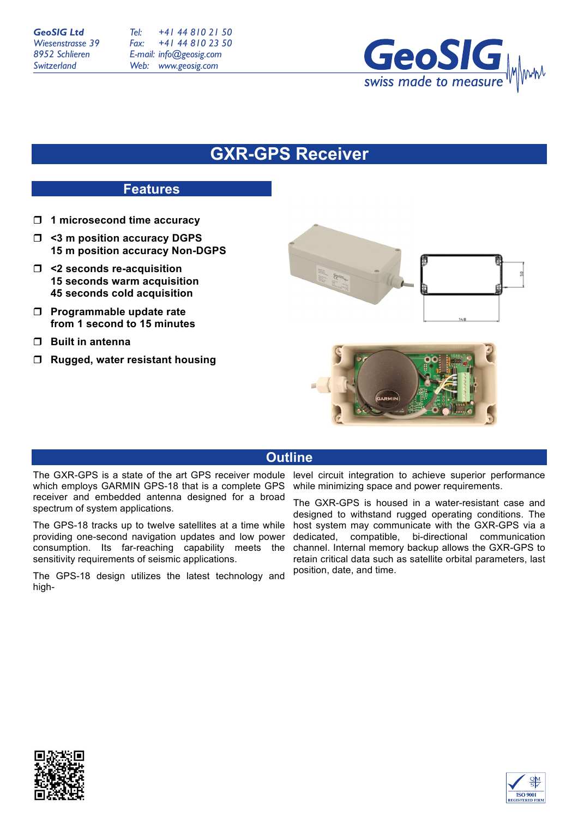*Tel: Fax: E-mail: info@geosig.com Web: www.geosig.com +41 44 810 21 50 +41 44 810 23 50*



## **GXR-GPS Receiver**

## **Features**

- ! **1 microsecond time accuracy**
- ! **<3 m position accuracy DGPS 15 m position accuracy Non-DGPS**
- ! **<2 seconds re-acquisition 15 seconds warm acquisition 45 seconds cold acquisition**
- ! **Programmable update rate from 1 second to 15 minutes**
- ! **Built in antenna**
- ! **Rugged, water resistant housing**



## **Outline**

which employs GARMIN GPS-18 that is a complete GPS receiver and embedded antenna designed for a broad spectrum of system applications.

The GPS-18 tracks up to twelve satellites at a time while providing one-second navigation updates and low power consumption. Its far-reaching capability meets the sensitivity requirements of seismic applications.

The GPS-18 design utilizes the latest technology and high-

The GXR-GPS is a state of the art GPS receiver module level circuit integration to achieve superior performance while minimizing space and power requirements.

> The GXR-GPS is housed in a water-resistant case and designed to withstand rugged operating conditions. The host system may communicate with the GXR-GPS via a dedicated, compatible, bi-directional communication channel. Internal memory backup allows the GXR-GPS to retain critical data such as satellite orbital parameters, last position, date, and time.